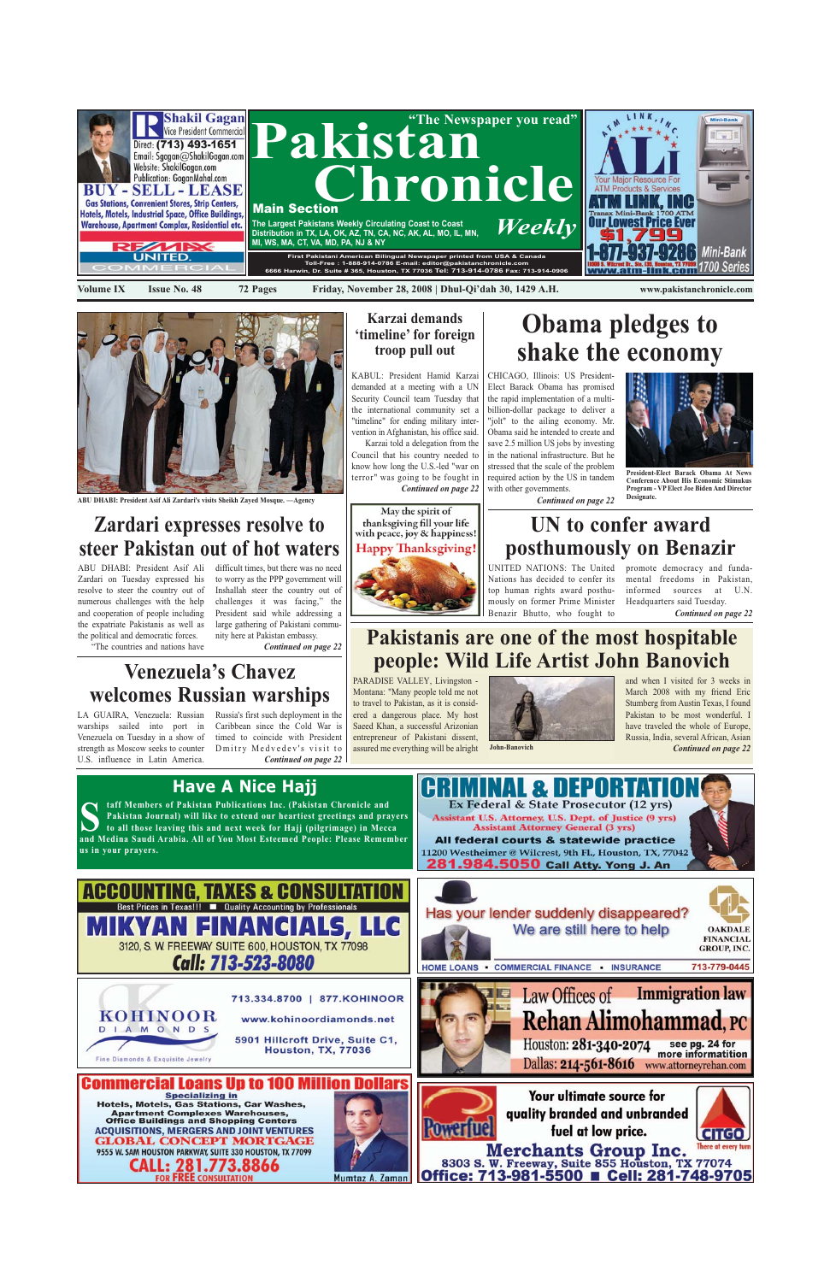



**ABU DHABI: President Asif Ali Zardari's visits Sheikh Zayed Mosque.** 



**Pakistan Journal) will like to extend our heartiest greetings and prayers to all those leaving this and next week for Hajj (pilgrimage) in Mecca and Medina Saudi Arabia. All of You Most Esteemed People: Please Remember us in your prayers.**



CHICAGO, Illinois: US President-Elect Barack Obama has promised the rapid implementation of a multibillion-dollar package to deliver a "jolt" to the ailing economy. Mr. Obama said he intended to create and save 2.5 million US jobs by investing in the national infrastructure. But he stressed that the scale of the problem required action by the US in tandem with other governments.

*Continued on page 22*

# **Obama pledges to shake the economy**



**President-Elect Barack Obama At News Conference About His Economic Stimukus Program - VP Elect Joe Biden And Director Designate.**

PARADISE VALLEY, Livingston - Montana: "Many people told me not to travel to Pakistan, as it is considered a dangerous place. My host Saeed Khan, a successful Arizonian entrepreneur of Pakistani dissent, assured me everything will be alright





*Continued on page 22*







# **Pakistanis are one of the most hospitable people: Wild Life Artist John Banovich**

**John-Banovich**

ABU DHABI: President Asif Ali difficult times, but there was no need Zardari on Tuesday expressed his resolve to steer the country out of numerous challenges with the help and cooperation of people including the expatriate Pakistanis as well as the political and democratic forces. "The countries and nations have

to worry as the PPP government will Inshallah steer the country out of challenges it was facing," the President said while addressing a large gathering of Pakistani community here at Pakistan embassy.

*Continued on page 22*

# **Zardari expresses resolve to steer Pakistan out of hot waters**

KABUL: President Hamid Karzai demanded at a meeting with a UN Security Council team Tuesday that the international community set a "timeline" for ending military intervention in Afghanistan, his office said. Karzai told a delegation from the

Council that his country needed to know how long the U.S.-led "war on terror" was going to be fought in *Continued on page 22*

May the spirit of thanksgiving fill your life with peace, joy & happiness! **Happy Thanksgiving!** 

### **Karzai demands 'timeline' for foreign troop pull out**

LA GUAIRA, Venezuela: Russian Russia's first such deployment in the warships sailed into port in Caribbean since the Cold War is Venezuela on Tuesday in a show of strength as Moscow seeks to counter Dmitry Medvedev's visit to U.S. influence in Latin America.

timed to coincide with President *Continued on page 22*

# **Venezuela's Chavez welcomes Russian warships**

Nations has decided to confer its top human rights award posthumously on former Prime Minister Benazir Bhutto, who fought to

UNITED NATIONS: The United promote democracy and fundamental freedoms in Pakistan, informed sources at U.N. Headquarters said Tuesday.

*Continued on page 22*

# **UN to confer award posthumously on Benazir**